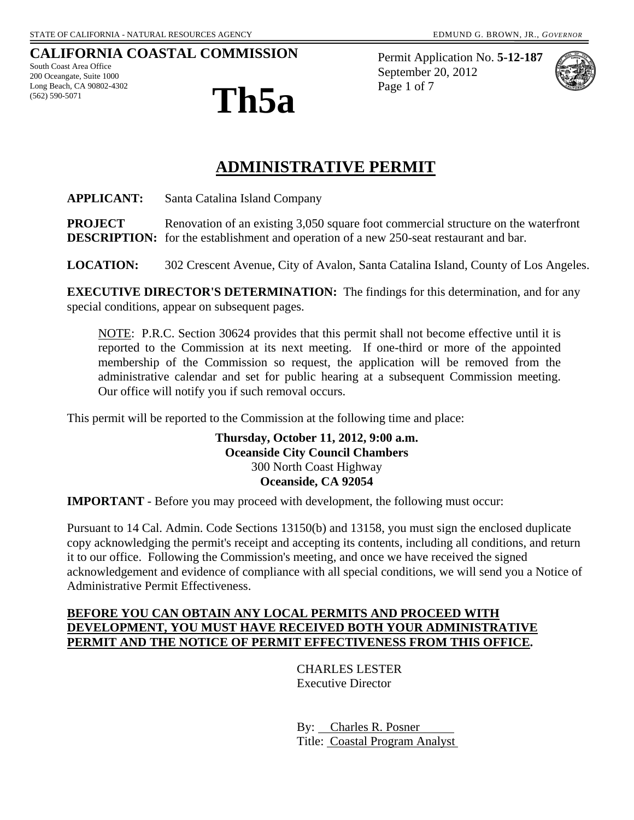# **CALIFORNIA COASTAL COMMISSION**

South Coast Area Office 200 Oceangate, Suite 1000 Long Beach, CA 90802-4302



Permit Application No. **5-12-187** September 20, 2012 Page 1 of 7



# **ADMINISTRATIVE PERMIT**

**APPLICANT:** Santa Catalina Island Company

**PROJECT** Renovation of an existing 3,050 square foot commercial structure on the waterfront **DESCRIPTION:** for the establishment and operation of a new 250-seat restaurant and bar.

**LOCATION:** 302 Crescent Avenue, City of Avalon, Santa Catalina Island, County of Los Angeles.

**EXECUTIVE DIRECTOR'S DETERMINATION:** The findings for this determination, and for any special conditions, appear on subsequent pages.

NOTE: P.R.C. Section 30624 provides that this permit shall not become effective until it is reported to the Commission at its next meeting. If one-third or more of the appointed membership of the Commission so request, the application will be removed from the administrative calendar and set for public hearing at a subsequent Commission meeting. Our office will notify you if such removal occurs.

This permit will be reported to the Commission at the following time and place:

**Thursday, October 11, 2012, 9:00 a.m. Oceanside City Council Chambers** 300 North Coast Highway **Oceanside, CA 92054** 

**IMPORTANT** - Before you may proceed with development, the following must occur:

Pursuant to 14 Cal. Admin. Code Sections 13150(b) and 13158, you must sign the enclosed duplicate copy acknowledging the permit's receipt and accepting its contents, including all conditions, and return it to our office. Following the Commission's meeting, and once we have received the signed acknowledgement and evidence of compliance with all special conditions, we will send you a Notice of Administrative Permit Effectiveness.

#### **BEFORE YOU CAN OBTAIN ANY LOCAL PERMITS AND PROCEED WITH DEVELOPMENT, YOU MUST HAVE RECEIVED BOTH YOUR ADMINISTRATIVE PERMIT AND THE NOTICE OF PERMIT EFFECTIVENESS FROM THIS OFFICE.**

 CHARLES LESTER Executive Director

 By: Charles R. Posner Title: Coastal Program Analyst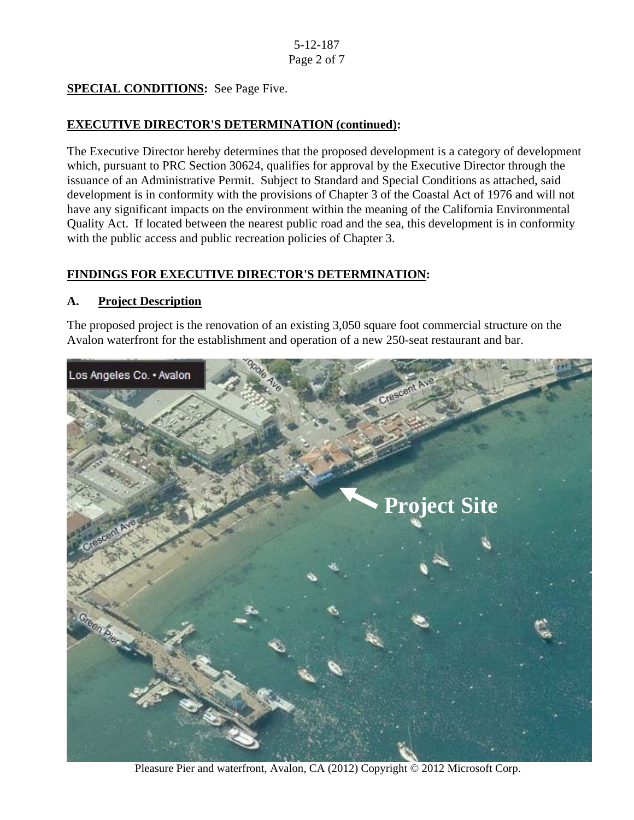# **SPECIAL CONDITIONS:** See Page Five.

# **EXECUTIVE DIRECTOR'S DETERMINATION (continued):**

The Executive Director hereby determines that the proposed development is a category of development which, pursuant to PRC Section 30624, qualifies for approval by the Executive Director through the issuance of an Administrative Permit. Subject to Standard and Special Conditions as attached, said development is in conformity with the provisions of Chapter 3 of the Coastal Act of 1976 and will not have any significant impacts on the environment within the meaning of the California Environmental Quality Act. If located between the nearest public road and the sea, this development is in conformity with the public access and public recreation policies of Chapter 3.

# **FINDINGS FOR EXECUTIVE DIRECTOR'S DETERMINATION:**

#### **A. Project Description**

The proposed project is the renovation of an existing 3,050 square foot commercial structure on the Avalon waterfront for the establishment and operation of a new 250-seat restaurant and bar.



Pleasure Pier and waterfront, Avalon, CA (2012) Copyright © 2012 Microsoft Corp.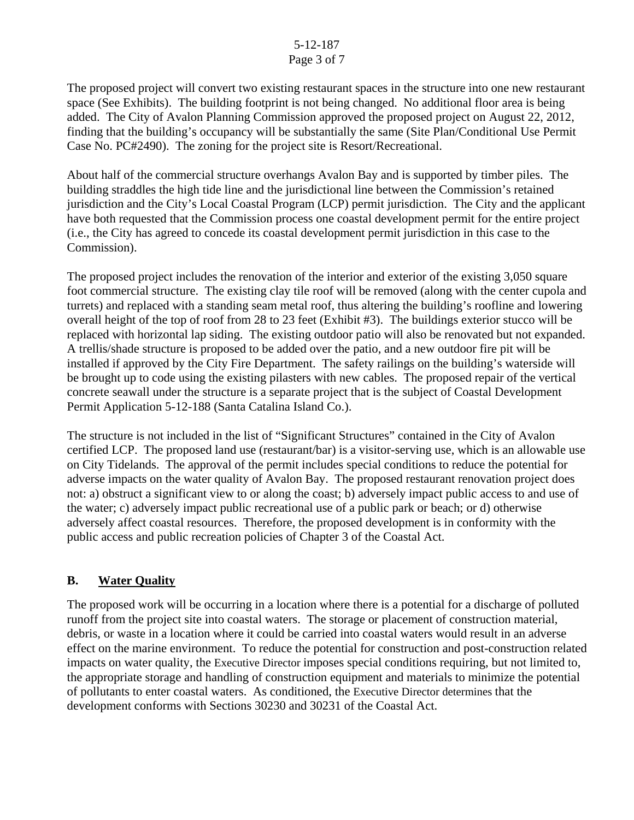#### 5-12-187 Page 3 of 7

The proposed project will convert two existing restaurant spaces in the structure into one new restaurant space (See Exhibits). The building footprint is not being changed. No additional floor area is being added. The City of Avalon Planning Commission approved the proposed project on August 22, 2012, finding that the building's occupancy will be substantially the same (Site Plan/Conditional Use Permit Case No. PC#2490). The zoning for the project site is Resort/Recreational.

About half of the commercial structure overhangs Avalon Bay and is supported by timber piles. The building straddles the high tide line and the jurisdictional line between the Commission's retained jurisdiction and the City's Local Coastal Program (LCP) permit jurisdiction. The City and the applicant have both requested that the Commission process one coastal development permit for the entire project (i.e., the City has agreed to concede its coastal development permit jurisdiction in this case to the Commission).

The proposed project includes the renovation of the interior and exterior of the existing 3,050 square foot commercial structure. The existing clay tile roof will be removed (along with the center cupola and turrets) and replaced with a standing seam metal roof, thus altering the building's roofline and lowering overall height of the top of roof from 28 to 23 feet (Exhibit #3). The buildings exterior stucco will be replaced with horizontal lap siding. The existing outdoor patio will also be renovated but not expanded. A trellis/shade structure is proposed to be added over the patio, and a new outdoor fire pit will be installed if approved by the City Fire Department. The safety railings on the building's waterside will be brought up to code using the existing pilasters with new cables. The proposed repair of the vertical concrete seawall under the structure is a separate project that is the subject of Coastal Development Permit Application 5-12-188 (Santa Catalina Island Co.).

The structure is not included in the list of "Significant Structures" contained in the City of Avalon certified LCP. The proposed land use (restaurant/bar) is a visitor-serving use, which is an allowable use on City Tidelands. The approval of the permit includes special conditions to reduce the potential for adverse impacts on the water quality of Avalon Bay. The proposed restaurant renovation project does not: a) obstruct a significant view to or along the coast; b) adversely impact public access to and use of the water; c) adversely impact public recreational use of a public park or beach; or d) otherwise adversely affect coastal resources. Therefore, the proposed development is in conformity with the public access and public recreation policies of Chapter 3 of the Coastal Act.

# **B. Water Quality**

The proposed work will be occurring in a location where there is a potential for a discharge of polluted runoff from the project site into coastal waters. The storage or placement of construction material, debris, or waste in a location where it could be carried into coastal waters would result in an adverse effect on the marine environment. To reduce the potential for construction and post-construction related impacts on water quality, the Executive Director imposes special conditions requiring, but not limited to, the appropriate storage and handling of construction equipment and materials to minimize the potential of pollutants to enter coastal waters. As conditioned, the Executive Director determines that the development conforms with Sections 30230 and 30231 of the Coastal Act.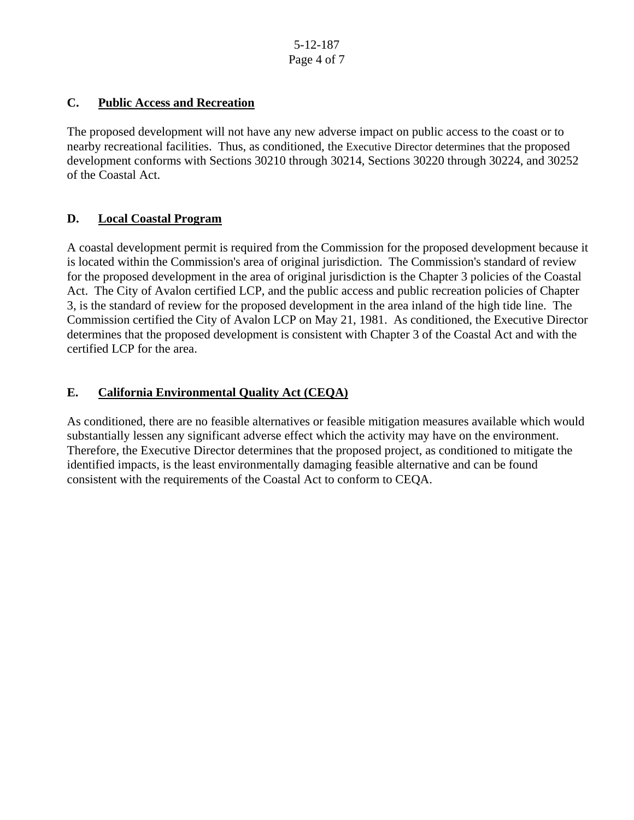## **C. Public Access and Recreation**

The proposed development will not have any new adverse impact on public access to the coast or to nearby recreational facilities. Thus, as conditioned, the Executive Director determines that the proposed development conforms with Sections 30210 through 30214, Sections 30220 through 30224, and 30252 of the Coastal Act.

# **D. Local Coastal Program**

A coastal development permit is required from the Commission for the proposed development because it is located within the Commission's area of original jurisdiction. The Commission's standard of review for the proposed development in the area of original jurisdiction is the Chapter 3 policies of the Coastal Act. The City of Avalon certified LCP, and the public access and public recreation policies of Chapter 3, is the standard of review for the proposed development in the area inland of the high tide line. The Commission certified the City of Avalon LCP on May 21, 1981. As conditioned, the Executive Director determines that the proposed development is consistent with Chapter 3 of the Coastal Act and with the certified LCP for the area.

# **E. California Environmental Quality Act (CEQA)**

As conditioned, there are no feasible alternatives or feasible mitigation measures available which would substantially lessen any significant adverse effect which the activity may have on the environment. Therefore, the Executive Director determines that the proposed project, as conditioned to mitigate the identified impacts, is the least environmentally damaging feasible alternative and can be found consistent with the requirements of the Coastal Act to conform to CEQA.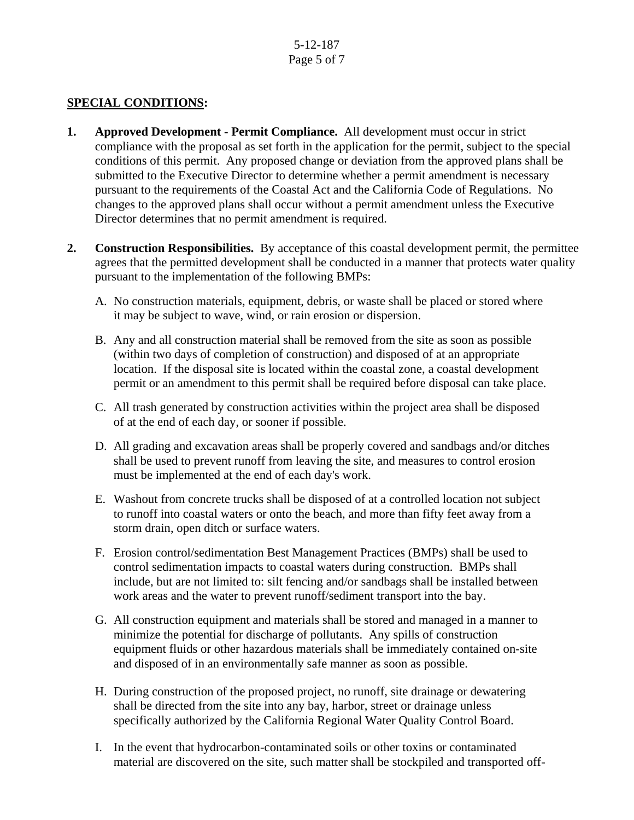# 5-12-187 Page 5 of 7

#### **SPECIAL CONDITIONS:**

- **1. Approved Development Permit Compliance.** All development must occur in strict compliance with the proposal as set forth in the application for the permit, subject to the special conditions of this permit. Any proposed change or deviation from the approved plans shall be submitted to the Executive Director to determine whether a permit amendment is necessary pursuant to the requirements of the Coastal Act and the California Code of Regulations. No changes to the approved plans shall occur without a permit amendment unless the Executive Director determines that no permit amendment is required.
- **2. Construction Responsibilities.** By acceptance of this coastal development permit, the permittee agrees that the permitted development shall be conducted in a manner that protects water quality pursuant to the implementation of the following BMPs:
	- A. No construction materials, equipment, debris, or waste shall be placed or stored where it may be subject to wave, wind, or rain erosion or dispersion.
	- B. Any and all construction material shall be removed from the site as soon as possible (within two days of completion of construction) and disposed of at an appropriate location. If the disposal site is located within the coastal zone, a coastal development permit or an amendment to this permit shall be required before disposal can take place.
	- C. All trash generated by construction activities within the project area shall be disposed of at the end of each day, or sooner if possible.
	- D. All grading and excavation areas shall be properly covered and sandbags and/or ditches shall be used to prevent runoff from leaving the site, and measures to control erosion must be implemented at the end of each day's work.
	- E. Washout from concrete trucks shall be disposed of at a controlled location not subject to runoff into coastal waters or onto the beach, and more than fifty feet away from a storm drain, open ditch or surface waters.
	- F. Erosion control/sedimentation Best Management Practices (BMPs) shall be used to control sedimentation impacts to coastal waters during construction. BMPs shall include, but are not limited to: silt fencing and/or sandbags shall be installed between work areas and the water to prevent runoff/sediment transport into the bay.
	- G. All construction equipment and materials shall be stored and managed in a manner to minimize the potential for discharge of pollutants. Any spills of construction equipment fluids or other hazardous materials shall be immediately contained on-site and disposed of in an environmentally safe manner as soon as possible.
	- H. During construction of the proposed project, no runoff, site drainage or dewatering shall be directed from the site into any bay, harbor, street or drainage unless specifically authorized by the California Regional Water Quality Control Board.
	- I. In the event that hydrocarbon-contaminated soils or other toxins or contaminated material are discovered on the site, such matter shall be stockpiled and transported off-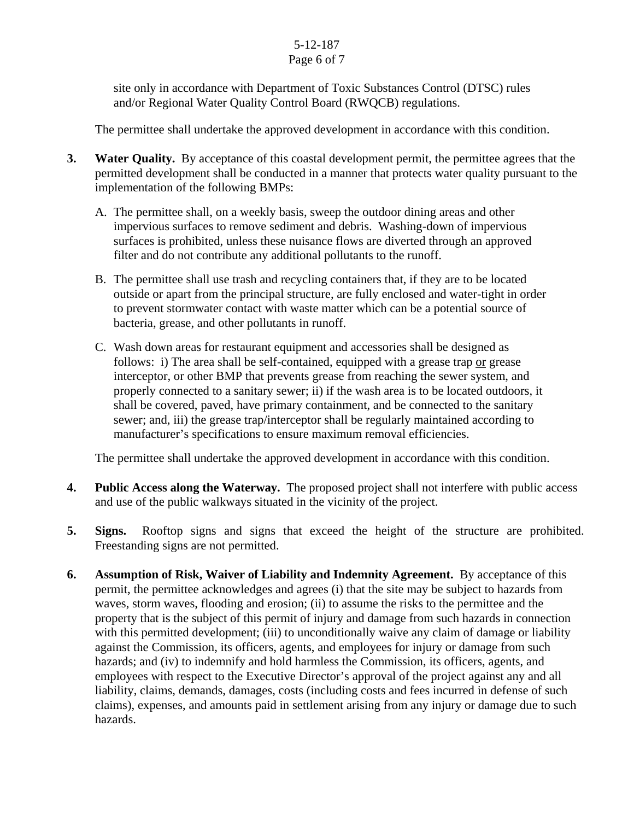#### 5-12-187 Page 6 of 7

site only in accordance with Department of Toxic Substances Control (DTSC) rules and/or Regional Water Quality Control Board (RWQCB) regulations.

The permittee shall undertake the approved development in accordance with this condition.

- **3.** Water Quality. By acceptance of this coastal development permit, the permittee agrees that the permitted development shall be conducted in a manner that protects water quality pursuant to the implementation of the following BMPs:
	- A. The permittee shall, on a weekly basis, sweep the outdoor dining areas and other impervious surfaces to remove sediment and debris. Washing-down of impervious surfaces is prohibited, unless these nuisance flows are diverted through an approved filter and do not contribute any additional pollutants to the runoff.
	- B. The permittee shall use trash and recycling containers that, if they are to be located outside or apart from the principal structure, are fully enclosed and water-tight in order to prevent stormwater contact with waste matter which can be a potential source of bacteria, grease, and other pollutants in runoff.
	- C. Wash down areas for restaurant equipment and accessories shall be designed as follows: i) The area shall be self-contained, equipped with a grease trap or grease interceptor, or other BMP that prevents grease from reaching the sewer system, and properly connected to a sanitary sewer; ii) if the wash area is to be located outdoors, it shall be covered, paved, have primary containment, and be connected to the sanitary sewer; and, iii) the grease trap/interceptor shall be regularly maintained according to manufacturer's specifications to ensure maximum removal efficiencies.

The permittee shall undertake the approved development in accordance with this condition.

- **4. Public Access along the Waterway.** The proposed project shall not interfere with public access and use of the public walkways situated in the vicinity of the project.
- **5. Signs.** Rooftop signs and signs that exceed the height of the structure are prohibited. Freestanding signs are not permitted.
- **6. Assumption of Risk, Waiver of Liability and Indemnity Agreement.** By acceptance of this permit, the permittee acknowledges and agrees (i) that the site may be subject to hazards from waves, storm waves, flooding and erosion; (ii) to assume the risks to the permittee and the property that is the subject of this permit of injury and damage from such hazards in connection with this permitted development; (iii) to unconditionally waive any claim of damage or liability against the Commission, its officers, agents, and employees for injury or damage from such hazards; and (iv) to indemnify and hold harmless the Commission, its officers, agents, and employees with respect to the Executive Director's approval of the project against any and all liability, claims, demands, damages, costs (including costs and fees incurred in defense of such claims), expenses, and amounts paid in settlement arising from any injury or damage due to such hazards.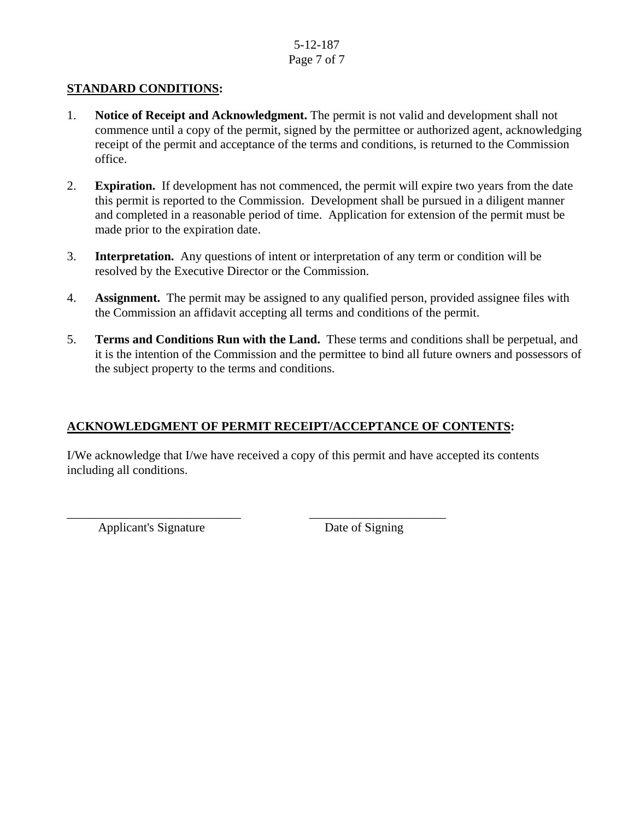## 5-12-187 Page 7 of 7

# **STANDARD CONDITIONS:**

- 1. **Notice of Receipt and Acknowledgment.** The permit is not valid and development shall not commence until a copy of the permit, signed by the permittee or authorized agent, acknowledging receipt of the permit and acceptance of the terms and conditions, is returned to the Commission office.
- 2. **Expiration.** If development has not commenced, the permit will expire two years from the date this permit is reported to the Commission. Development shall be pursued in a diligent manner and completed in a reasonable period of time. Application for extension of the permit must be made prior to the expiration date.
- 3. **Interpretation.** Any questions of intent or interpretation of any term or condition will be resolved by the Executive Director or the Commission.
- 4. **Assignment.** The permit may be assigned to any qualified person, provided assignee files with the Commission an affidavit accepting all terms and conditions of the permit.
- 5. **Terms and Conditions Run with the Land.** These terms and conditions shall be perpetual, and it is the intention of the Commission and the permittee to bind all future owners and possessors of the subject property to the terms and conditions.

## **ACKNOWLEDGMENT OF PERMIT RECEIPT/ACCEPTANCE OF CONTENTS:**

\_\_\_\_\_\_\_\_\_\_\_\_\_\_\_\_\_\_\_\_\_\_\_\_\_\_\_\_ \_\_\_\_\_\_\_\_\_\_\_\_\_\_\_\_\_\_\_\_\_\_

I/We acknowledge that I/we have received a copy of this permit and have accepted its contents including all conditions.

Applicant's Signature Date of Signing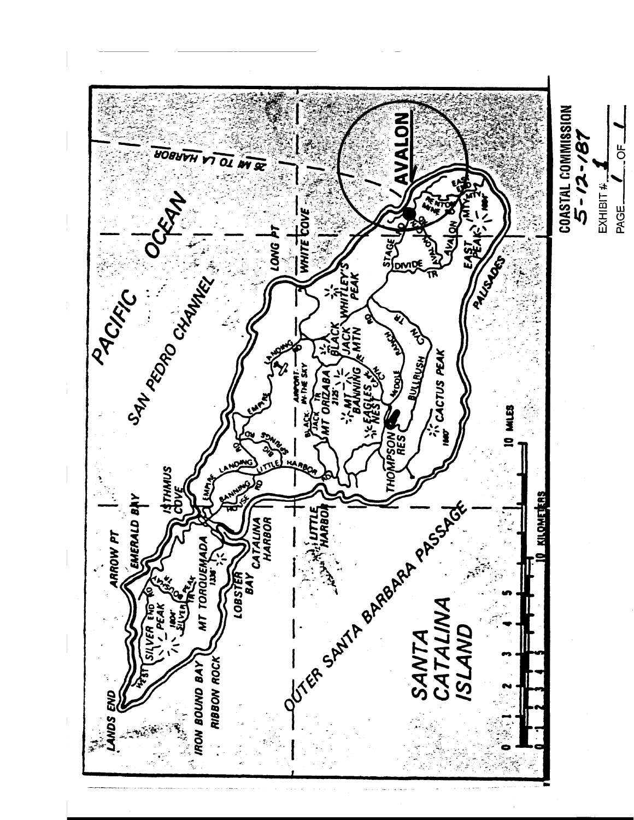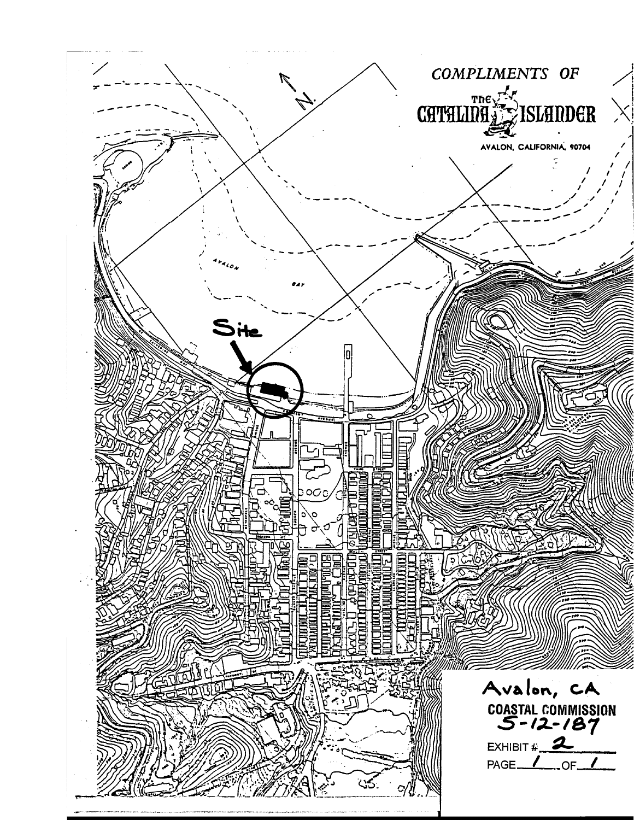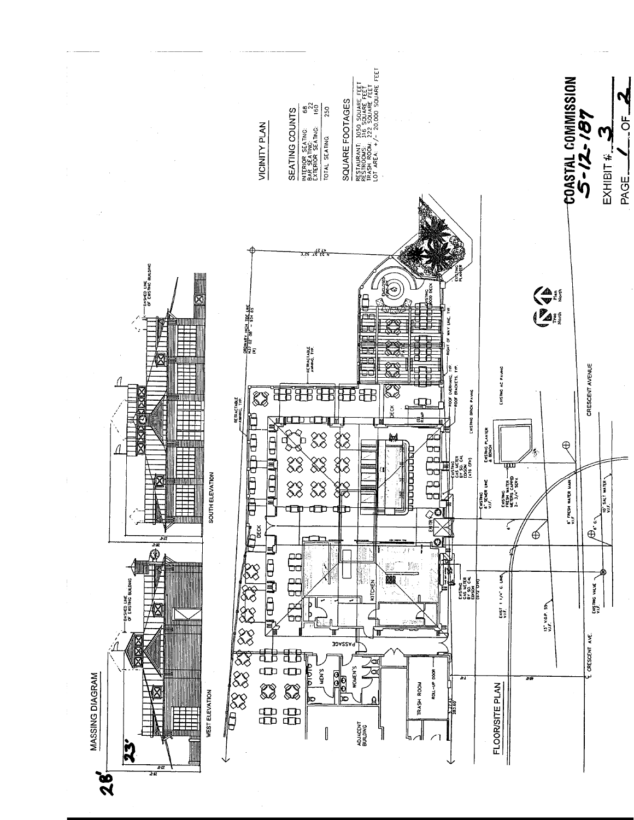